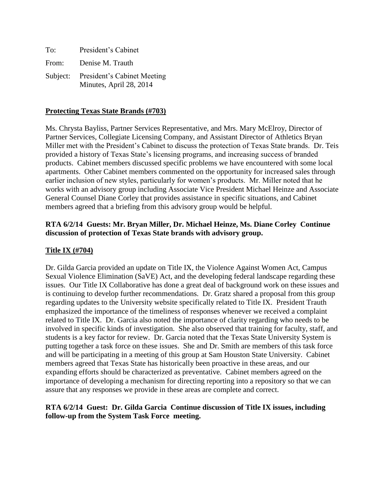| To:   | President's Cabinet                                             |
|-------|-----------------------------------------------------------------|
| From: | Denise M. Trauth                                                |
|       | Subject: President's Cabinet Meeting<br>Minutes, April 28, 2014 |

#### **Protecting Texas State Brands (#703)**

Ms. Chrysta Bayliss, Partner Services Representative, and Mrs. Mary McElroy, Director of Partner Services, Collegiate Licensing Company, and Assistant Director of Athletics Bryan Miller met with the President's Cabinet to discuss the protection of Texas State brands. Dr. Teis provided a history of Texas State's licensing programs, and increasing success of branded products. Cabinet members discussed specific problems we have encountered with some local apartments. Other Cabinet members commented on the opportunity for increased sales through earlier inclusion of new styles, particularly for women's products. Mr. Miller noted that he works with an advisory group including Associate Vice President Michael Heinze and Associate General Counsel Diane Corley that provides assistance in specific situations, and Cabinet members agreed that a briefing from this advisory group would be helpful.

### **RTA 6/2/14 Guests: Mr. Bryan Miller, Dr. Michael Heinze, Ms. Diane Corley Continue discussion of protection of Texas State brands with advisory group.**

#### **Title IX (#704)**

Dr. Gilda Garcia provided an update on Title IX, the Violence Against Women Act, Campus Sexual Violence Elimination (SaVE) Act, and the developing federal landscape regarding these issues. Our Title IX Collaborative has done a great deal of background work on these issues and is continuing to develop further recommendations. Dr. Gratz shared a proposal from this group regarding updates to the University website specifically related to Title IX. President Trauth emphasized the importance of the timeliness of responses whenever we received a complaint related to Title IX. Dr. Garcia also noted the importance of clarity regarding who needs to be involved in specific kinds of investigation. She also observed that training for faculty, staff, and students is a key factor for review. Dr. Garcia noted that the Texas State University System is putting together a task force on these issues. She and Dr. Smith are members of this task force and will be participating in a meeting of this group at Sam Houston State University. Cabinet members agreed that Texas State has historically been proactive in these areas, and our expanding efforts should be characterized as preventative. Cabinet members agreed on the importance of developing a mechanism for directing reporting into a repository so that we can assure that any responses we provide in these areas are complete and correct.

#### **RTA 6/2/14 Guest: Dr. Gilda Garcia Continue discussion of Title IX issues, including follow-up from the System Task Force meeting.**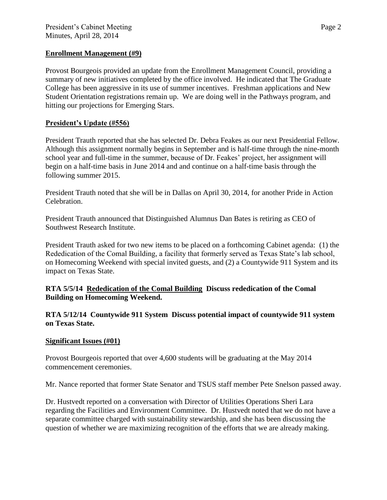#### **Enrollment Management (#9)**

Provost Bourgeois provided an update from the Enrollment Management Council, providing a summary of new initiatives completed by the office involved. He indicated that The Graduate College has been aggressive in its use of summer incentives. Freshman applications and New Student Orientation registrations remain up. We are doing well in the Pathways program, and hitting our projections for Emerging Stars.

# **President's Update (#556)**

President Trauth reported that she has selected Dr. Debra Feakes as our next Presidential Fellow. Although this assignment normally begins in September and is half-time through the nine-month school year and full-time in the summer, because of Dr. Feakes' project, her assignment will begin on a half-time basis in June 2014 and and continue on a half-time basis through the following summer 2015.

President Trauth noted that she will be in Dallas on April 30, 2014, for another Pride in Action Celebration.

President Trauth announced that Distinguished Alumnus Dan Bates is retiring as CEO of Southwest Research Institute.

President Trauth asked for two new items to be placed on a forthcoming Cabinet agenda: (1) the Rededication of the Comal Building, a facility that formerly served as Texas State's lab school, on Homecoming Weekend with special invited guests, and (2) a Countywide 911 System and its impact on Texas State.

# **RTA 5/5/14 Rededication of the Comal Building Discuss rededication of the Comal Building on Homecoming Weekend.**

# **RTA 5/12/14 Countywide 911 System Discuss potential impact of countywide 911 system on Texas State.**

# **Significant Issues (#01)**

Provost Bourgeois reported that over 4,600 students will be graduating at the May 2014 commencement ceremonies.

Mr. Nance reported that former State Senator and TSUS staff member Pete Snelson passed away.

Dr. Hustvedt reported on a conversation with Director of Utilities Operations Sheri Lara regarding the Facilities and Environment Committee. Dr. Hustvedt noted that we do not have a separate committee charged with sustainability stewardship, and she has been discussing the question of whether we are maximizing recognition of the efforts that we are already making.